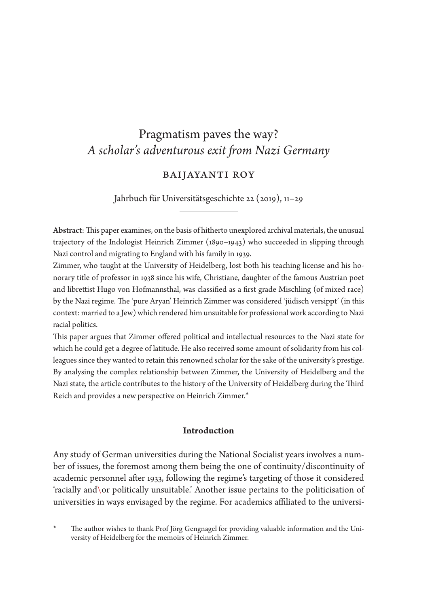# Pragmatism paves the way? *A scholar's adventurous exit from Nazi Germany*

## Baijayanti Roy

Jahrbuch für Universitätsgeschichte 22 (2019), 11–29

Abstract: This paper examines, on the basis of hitherto unexplored archival materials, the unusual trajectory of the Indologist Heinrich Zimmer (1890–1943) who succeeded in slipping through Nazi control and migrating to England with his family in 1939.

Zimmer, who taught at the University of Heidelberg, lost both his teaching license and his honorary title of professor in 1938 since his wife, Christiane, daughter of the famous Austrian poet and librettist Hugo von Hofmannsthal, was classified as a first grade Mischling (of mixed race) by the Nazi regime. The 'pure Aryan' Heinrich Zimmer was considered 'jüdisch versippt' (in this context: married to a Jew) which rendered him unsuitable for professional work according to Nazi racial politics.

This paper argues that Zimmer offered political and intellectual resources to the Nazi state for which he could get a degree of latitude. He also received some amount of solidarity from his colleagues since they wanted to retain this renowned scholar for the sake of the university's prestige. By analysing the complex relationship between Zimmer, the University of Heidelberg and the Nazi state, the article contributes to the history of the University of Heidelberg during the Third Reich and provides a new perspective on Heinrich Zimmer.\*

#### **Introduction**

Any study of German universities during the National Socialist years involves a number of issues, the foremost among them being the one of continuity/discontinuity of academic personnel after 1933, following the regime's targeting of those it considered 'racially and\or politically unsuitable.' Another issue pertains to the politicisation of universities in ways envisaged by the regime. For academics affiliated to the universi-

The author wishes to thank Prof Jörg Gengnagel for providing valuable information and the University of Heidelberg for the memoirs of Heinrich Zimmer.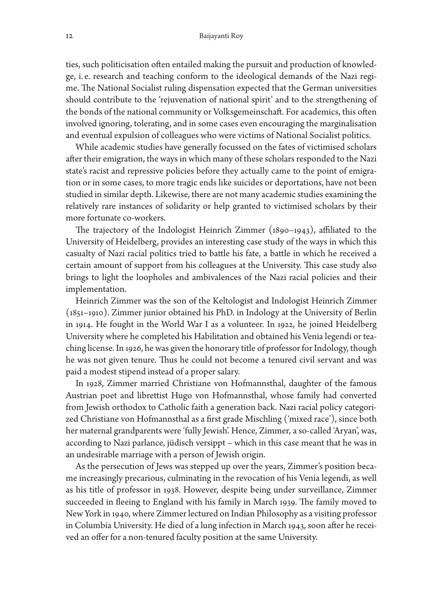ties, such politicisation often entailed making the pursuit and production of knowledge, i. e. research and teaching conform to the ideological demands of the Nazi regime. The National Socialist ruling dispensation expected that the German universities should contribute to the 'rejuvenation of national spirit' and to the strengthening of the bonds of the national community or Volksgemeinschaft. For academics, this often involved ignoring, tolerating, and in some cases even encouraging the marginalisation and eventual expulsion of colleagues who were victims of National Socialist politics.

While academic studies have generally focussed on the fates of victimised scholars after their emigration, the ways in which many of these scholars responded to the Nazi state's racist and repressive policies before they actually came to the point of emigration or in some cases, to more tragic ends like suicides or deportations, have not been studied in similar depth. Likewise, there are not many academic studies examining the relatively rare instances of solidarity or help granted to victimised scholars by their more fortunate co-workers.

The trajectory of the Indologist Heinrich Zimmer (1890–1943), affiliated to the University of Heidelberg, provides an interesting case study of the ways in which this casualty of Nazi racial politics tried to battle his fate, a battle in which he received a certain amount of support from his colleagues at the University. This case study also brings to light the loopholes and ambivalences of the Nazi racial policies and their implementation.

Heinrich Zimmer was the son of the Keltologist and Indologist Heinrich Zimmer (1851–1910). Zimmer junior obtained his PhD. in Indology at the University of Berlin in 1914. He fought in the World War I as a volunteer. In 1922, he joined Heidelberg University where he completed his Habilitation and obtained his Venia legendi or teaching license. In 1926, he was given the honorary title of professor for Indology, though he was not given tenure. Thus he could not become a tenured civil servant and was paid a modest stipend instead of a proper salary.

In 1928, Zimmer married Christiane von Hofmannsthal, daughter of the famous Austrian poet and librettist Hugo von Hofmannsthal, whose family had converted from Jewish orthodox to Catholic faith a generation back. Nazi racial policy categorized Christiane von Hofmannsthal as a first grade Mischling ('mixed race'), since both her maternal grandparents were 'fully Jewish'. Hence, Zimmer, a so-called 'Aryan', was, according to Nazi parlance, jüdisch versippt – which in this case meant that he was in an undesirable marriage with a person of Jewish origin.

As the persecution of Jews was stepped up over the years, Zimmer's position became increasingly precarious, culminating in the revocation of his Venia legendi, as well as his title of professor in 1938. However, despite being under surveillance, Zimmer succeeded in fleeing to England with his family in March 1939. The family moved to New York in 1940, where Zimmer lectured on Indian Philosophy as a visiting professor in Columbia University. He died of a lung infection in March 1943, soon after he received an offer for a non-tenured faculty position at the same University.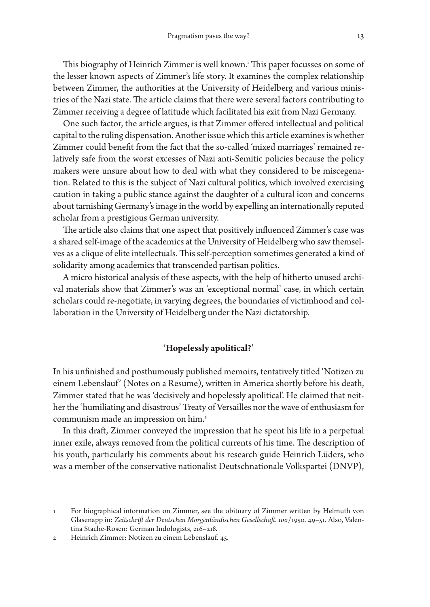This biography of Heinrich Zimmer is well known. 1 This paper focusses on some of the lesser known aspects of Zimmer's life story. It examines the complex relationship between Zimmer, the authorities at the University of Heidelberg and various ministries of the Nazi state. The article claims that there were several factors contributing to Zimmer receiving a degree of latitude which facilitated his exit from Nazi Germany.

One such factor, the article argues, is that Zimmer offered intellectual and political capital to the ruling dispensation. Another issue which this article examines is whether Zimmer could benefit from the fact that the so-called 'mixed marriages' remained relatively safe from the worst excesses of Nazi anti-Semitic policies because the policy makers were unsure about how to deal with what they considered to be miscegenation. Related to this is the subject of Nazi cultural politics, which involved exercising caution in taking a public stance against the daughter of a cultural icon and concerns about tarnishing Germany's image in the world by expelling an internationally reputed scholar from a prestigious German university.

The article also claims that one aspect that positively influenced Zimmer's case was a shared self-image of the academics at the University of Heidelberg who saw themselves as a clique of elite intellectuals. This self-perception sometimes generated a kind of solidarity among academics that transcended partisan politics.

A micro historical analysis of these aspects, with the help of hitherto unused archival materials show that Zimmer's was an 'exceptional normal' case, in which certain scholars could re-negotiate, in varying degrees, the boundaries of victimhood and collaboration in the University of Heidelberg under the Nazi dictatorship.

## **'Hopelessly apolitical?'**

In his unfinished and posthumously published memoirs, tentatively titled 'Notizen zu einem Lebenslauf' (Notes on a Resume), written in America shortly before his death, Zimmer stated that he was 'decisively and hopelessly apolitical'. He claimed that neither the 'humiliating and disastrous' Treaty of Versailles nor the wave of enthusiasm for communism made an impression on him. 2

In this draft, Zimmer conveyed the impression that he spent his life in a perpetual inner exile, always removed from the political currents of his time. The description of his youth, particularly his comments about his research guide Heinrich Lüders, who was a member of the conservative nationalist Deutschnationale Volkspartei (DNVP),

<sup>1</sup> For biographical information on Zimmer, see the obituary of Zimmer written by Helmuth von Glasenapp in: *Zeitschrift der Deutschen Morgenländischen Gesellschaft. 100*/1950. 49–51. Also, Valentina Stache-Rosen: German Indologists, 216–218.

<sup>2</sup> Heinrich Zimmer: Notizen zu einem Lebenslauf. 45.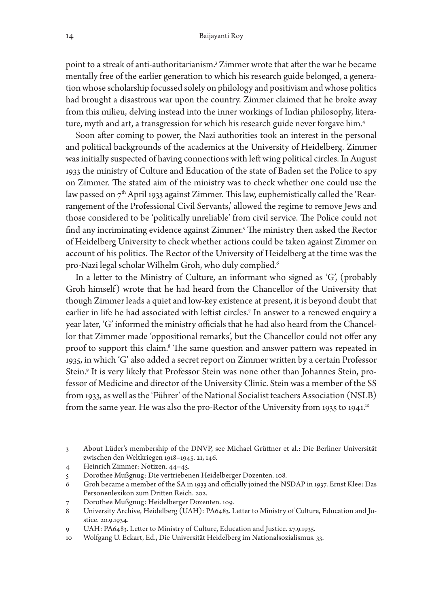point to a streak of anti-authoritarianism. 3 Zimmer wrote that after the war he became mentally free of the earlier generation to which his research guide belonged, a generation whose scholarship focussed solely on philology and positivism and whose politics had brought a disastrous war upon the country. Zimmer claimed that he broke away from this milieu, delving instead into the inner workings of Indian philosophy, literature, myth and art, a transgression for which his research guide never forgave him. 4

Soon after coming to power, the Nazi authorities took an interest in the personal and political backgrounds of the academics at the University of Heidelberg. Zimmer was initially suspected of having connections with left wing political circles. In August 1933 the ministry of Culture and Education of the state of Baden set the Police to spy on Zimmer. The stated aim of the ministry was to check whether one could use the law passed on  $7^{\rm th}$  April 1933 against Zimmer. This law, euphemistically called the 'Rearrangement of the Professional Civil Servants,' allowed the regime to remove Jews and those considered to be 'politically unreliable' from civil service. The Police could not find any incriminating evidence against Zimmer. 5 The ministry then asked the Rector of Heidelberg University to check whether actions could be taken against Zimmer on account of his politics. The Rector of the University of Heidelberg at the time was the pro-Nazi legal scholar Wilhelm Groh, who duly complied. 6

In a letter to the Ministry of Culture, an informant who signed as 'G', (probably Groh himself) wrote that he had heard from the Chancellor of the University that though Zimmer leads a quiet and low-key existence at present, it is beyond doubt that earlier in life he had associated with leftist circles. 7 In answer to a renewed enquiry a year later, 'G' informed the ministry officials that he had also heard from the Chancellor that Zimmer made 'oppositional remarks', but the Chancellor could not offer any proof to support this claim. 8 The same question and answer pattern was repeated in 1935, in which 'G' also added a secret report on Zimmer written by a certain Professor Stein. 9 It is very likely that Professor Stein was none other than Johannes Stein, professor of Medicine and director of the University Clinic. Stein was a member of the SS from 1933, as well as the 'Führer' of the National Socialist teachers Association (NSLB) from the same year. He was also the pro-Rector of the University from 1935 to 1941. 10

- 4 Heinrich Zimmer: Notizen. 44–45.
- 5 Dorothee Mußgnug: Die vertriebenen Heidelberger Dozenten. 108.
- 6 Groh became a member of the SA in 1933 and officially joined the NSDAP in 1937. Ernst Klee: Das Personenlexikon zum Dritten Reich. 202.
- 7 Dorothee Mußgnug: Heidelberger Dozenten. 109.
- 8 University Archive, Heidelberg (UAH): PA6483. Letter to Ministry of Culture, Education and Justice. 20.9.1934.
- 9 UAH: PA6483. Letter to Ministry of Culture, Education and Justice. 27.9.1935.
- 10 Wolfgang U. Eckart, Ed., Die Universität Heidelberg im Nationalsozialismus. 33.

<sup>3</sup> About Lüder's membership of the DNVP, see Michael Grüttner et al.: Die Berliner Universität zwischen den Weltkriegen 1918–1945. 21, 146.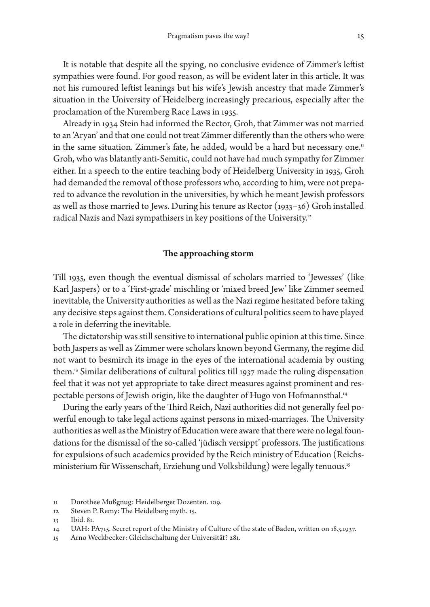It is notable that despite all the spying, no conclusive evidence of Zimmer's leftist sympathies were found. For good reason, as will be evident later in this article. It was not his rumoured leftist leanings but his wife's Jewish ancestry that made Zimmer's situation in the University of Heidelberg increasingly precarious, especially after the proclamation of the Nuremberg Race Laws in 1935.

Already in 1934 Stein had informed the Rector, Groh, that Zimmer was not married to an 'Aryan' and that one could not treat Zimmer differently than the others who were in the same situation. Zimmer's fate, he added, would be a hard but necessary one." Groh, who was blatantly anti-Semitic, could not have had much sympathy for Zimmer either. In a speech to the entire teaching body of Heidelberg University in 1935, Groh had demanded the removal of those professors who, according to him, were not prepared to advance the revolution in the universities, by which he meant Jewish professors as well as those married to Jews. During his tenure as Rector (1933–36) Groh installed radical Nazis and Nazi sympathisers in key positions of the University. 12

#### **The approaching storm**

Till 1935, even though the eventual dismissal of scholars married to 'Jewesses' (like Karl Jaspers) or to a 'First-grade' mischling or 'mixed breed Jew' like Zimmer seemed inevitable, the University authorities as well as the Nazi regime hesitated before taking any decisive steps against them. Considerations of cultural politics seem to have played a role in deferring the inevitable.

The dictatorship was still sensitive to international public opinion at this time. Since both Jaspers as well as Zimmer were scholars known beyond Germany, the regime did not want to besmirch its image in the eyes of the international academia by ousting them. 13 Similar deliberations of cultural politics till 1937 made the ruling dispensation feel that it was not yet appropriate to take direct measures against prominent and respectable persons of Jewish origin, like the daughter of Hugo von Hofmannsthal. 14

During the early years of the Third Reich, Nazi authorities did not generally feel powerful enough to take legal actions against persons in mixed-marriages. The University authorities as well as the Ministry of Education were aware that there were no legal foundations for the dismissal of the so-called 'jüdisch versippt' professors. The justifications for expulsions of such academics provided by the Reich ministry of Education (Reichsministerium für Wissenschaft, Erziehung und Volksbildung) were legally tenuous. 15

<sup>11</sup> Dorothee Mußgnug: Heidelberger Dozenten. 109.

<sup>12</sup> Steven P. Remy: The Heidelberg myth. 15.

<sup>13</sup> Ibid. 81.

<sup>14</sup> UAH: PA715. Secret report of the Ministry of Culture of the state of Baden, written on 18.3.1937.

<sup>15</sup> Arno Weckbecker: Gleichschaltung der Universität? 281.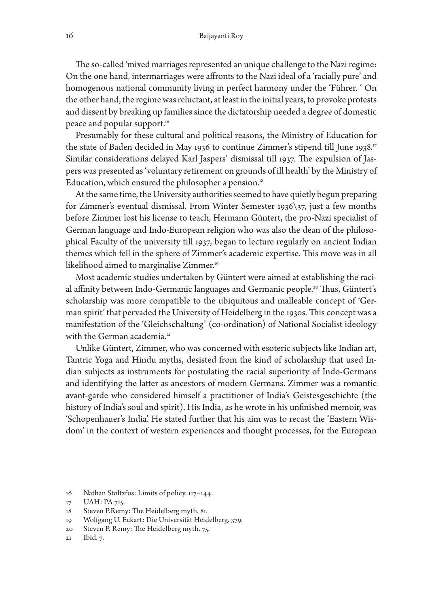The so-called 'mixed marriages represented an unique challenge to the Nazi regime: On the one hand, intermarriages were affronts to the Nazi ideal of a 'racially pure' and homogenous national community living in perfect harmony under the 'Führer. ' On the other hand, the regime was reluctant, at least in the initial years, to provoke protests and dissent by breaking up families since the dictatorship needed a degree of domestic peace and popular support. 16

Presumably for these cultural and political reasons, the Ministry of Education for the state of Baden decided in May 1936 to continue Zimmer's stipend till June 1938. 17 Similar considerations delayed Karl Jaspers' dismissal till 1937. The expulsion of Jaspers was presented as 'voluntary retirement on grounds of ill health' by the Ministry of Education, which ensured the philosopher a pension. 18

At the same time, the University authorities seemed to have quietly begun preparing for Zimmer's eventual dismissal. From Winter Semester 1936\37, just a few months before Zimmer lost his license to teach, Hermann Güntert, the pro-Nazi specialist of German language and Indo-European religion who was also the dean of the philosophical Faculty of the university till 1937, began to lecture regularly on ancient Indian themes which fell in the sphere of Zimmer's academic expertise. This move was in all likelihood aimed to marginalise Zimmer. 19

Most academic studies undertaken by Güntert were aimed at establishing the racial affinity between Indo-Germanic languages and Germanic people. 20 Thus, Güntert's scholarship was more compatible to the ubiquitous and malleable concept of 'German spirit' that pervaded the University of Heidelberg in the 1930s. This concept was a manifestation of the 'Gleichschaltung' (co-ordination) of National Socialist ideology with the German academia.<sup>21</sup>

Unlike Güntert, Zimmer, who was concerned with esoteric subjects like Indian art, Tantric Yoga and Hindu myths, desisted from the kind of scholarship that used Indian subjects as instruments for postulating the racial superiority of Indo-Germans and identifying the latter as ancestors of modern Germans. Zimmer was a romantic avant-garde who considered himself a practitioner of India's Geistesgeschichte (the history of India's soul and spirit). His India, as he wrote in his unfinished memoir, was 'Schopenhauer's India'. He stated further that his aim was to recast the 'Eastern Wisdom' in the context of western experiences and thought processes, for the European

- 18 Steven P.Remy: The Heidelberg myth. 81.
- 19 Wolfgang U. Eckart: Die Universität Heidelberg. 379.
- 20 Steven P. Remy; The Heidelberg myth. 75.
- 21 Ibid. 7.

<sup>16</sup> Nathan Stoltzfus: Limits of policy. 117–144.

<sup>17</sup> UAH: PA 715.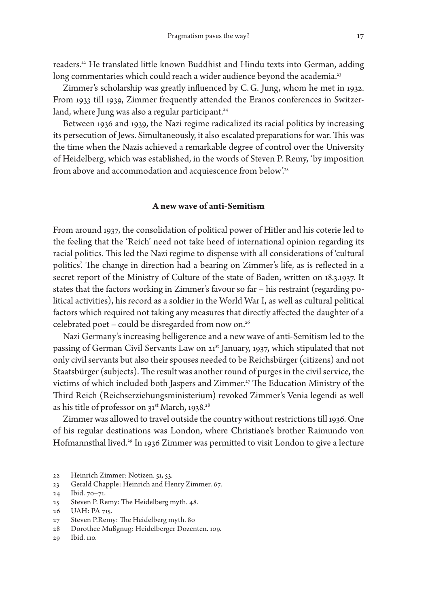readers. 22 He translated little known Buddhist and Hindu texts into German, adding long commentaries which could reach a wider audience beyond the academia.<sup>23</sup>

Zimmer's scholarship was greatly influenced by C. G. Jung, whom he met in 1932. From 1933 till 1939, Zimmer frequently attended the Eranos conferences in Switzerland, where Jung was also a regular participant. 24

Between 1936 and 1939, the Nazi regime radicalized its racial politics by increasing its persecution of Jews. Simultaneously, it also escalated preparations for war. This was the time when the Nazis achieved a remarkable degree of control over the University of Heidelberg, which was established, in the words of Steven P. Remy, 'by imposition from above and accommodation and acquiescence from below'. 25

### **A new wave of anti-Semitism**

From around 1937, the consolidation of political power of Hitler and his coterie led to the feeling that the 'Reich' need not take heed of international opinion regarding its racial politics. This led the Nazi regime to dispense with all considerations of 'cultural politics'. The change in direction had a bearing on Zimmer's life, as is reflected in a secret report of the Ministry of Culture of the state of Baden, written on 18.3.1937. It states that the factors working in Zimmer's favour so far – his restraint (regarding political activities), his record as a soldier in the World War I, as well as cultural political factors which required not taking any measures that directly affected the daughter of a celebrated poet – could be disregarded from now on. 26

Nazi Germany's increasing belligerence and a new wave of anti-Semitism led to the passing of German Civil Servants Law on 21st January, 1937, which stipulated that not only civil servants but also their spouses needed to be Reichsbürger (citizens) and not Staatsbürger (subjects). The result was another round of purges in the civil service, the victims of which included both Jaspers and Zimmer. 27 The Education Ministry of the Third Reich (Reichserziehungsministerium) revoked Zimmer's Venia legendi as well as his title of professor on 31<sup>st</sup> March, 1938.<sup>28</sup>

Zimmer was allowed to travel outside the country without restrictions till 1936. One of his regular destinations was London, where Christiane's brother Raimundo von Hofmannsthal lived. 29 In 1936 Zimmer was permitted to visit London to give a lecture

23 Gerald Chapple: Heinrich and Henry Zimmer. 67.

<sup>22</sup> Heinrich Zimmer: Notizen. 51, 53.

<sup>24</sup> Ibid. 70–71.

<sup>25</sup> Steven P. Remy: The Heidelberg myth. 48.

<sup>26</sup> UAH: PA 715.

<sup>27</sup> Steven P.Remy: The Heidelberg myth. 80

<sup>28</sup> Dorothee Mußgnug: Heidelberger Dozenten. 109.

<sup>29</sup> Ibid. 110.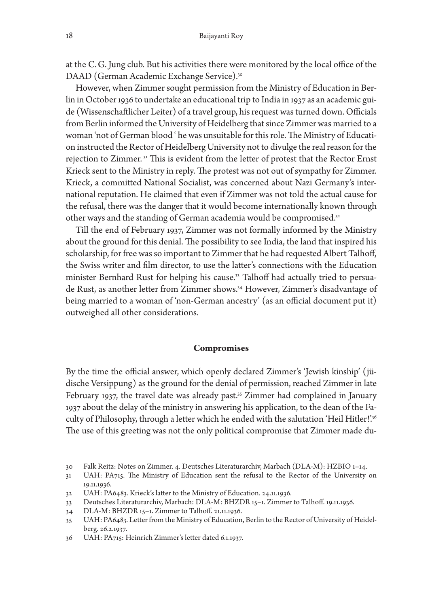at the C. G. Jung club. But his activities there were monitored by the local office of the DAAD (German Academic Exchange Service). 30

However, when Zimmer sought permission from the Ministry of Education in Berlin in October 1936 to undertake an educational trip to India in 1937 as an academic guide (Wissenschaftlicher Leiter) of a travel group, his request was turned down. Officials from Berlin informed the University of Heidelberg that since Zimmer was married to a woman 'not of German blood ' he was unsuitable for this role. The Ministry of Education instructed the Rector of Heidelberg University not to divulge the real reason for the rejection to Zimmer.<sup>31</sup> This is evident from the letter of protest that the Rector Ernst Krieck sent to the Ministry in reply. The protest was not out of sympathy for Zimmer. Krieck, a committed National Socialist, was concerned about Nazi Germany's international reputation. He claimed that even if Zimmer was not told the actual cause for the refusal, there was the danger that it would become internationally known through other ways and the standing of German academia would be compromised.<sup>32</sup>

Till the end of February 1937, Zimmer was not formally informed by the Ministry about the ground for this denial. The possibility to see India, the land that inspired his scholarship, for free was so important to Zimmer that he had requested Albert Talhoff, the Swiss writer and film director, to use the latter's connections with the Education minister Bernhard Rust for helping his cause. 33 Talhoff had actually tried to persuade Rust, as another letter from Zimmer shows. 34 However, Zimmer's disadvantage of being married to a woman of 'non-German ancestry' (as an official document put it) outweighed all other considerations.

#### **Compromises**

By the time the official answer, which openly declared Zimmer's 'Jewish kinship' (jüdische Versippung) as the ground for the denial of permission, reached Zimmer in late February 1937, the travel date was already past. 35 Zimmer had complained in January 1937 about the delay of the ministry in answering his application, to the dean of the Faculty of Philosophy, through a letter which he ended with the salutation 'Heil Hitler!'<sup>36</sup> The use of this greeting was not the only political compromise that Zimmer made du-

- 30 Falk Reitz: Notes on Zimmer. 4. Deutsches Literaturarchiv, Marbach (DLA-M): HZBIO 1–14.
- 31 UAH: PA715. The Ministry of Education sent the refusal to the Rector of the University on 19.11.1936.
- 32 UAH: PA6483. Krieck's latter to the Ministry of Education. 24.11.1936.
- 33 Deutsches Literaturarchiv, Marbach: DLA-M: BHZDR 15–1. Zimmer to Talhoff. 19.11.1936.
- 34 DLA-M: BHZDR 15–1. Zimmer to Talhoff. 21.11.1936.
- 35 UAH: PA6483. Letter from the Ministry of Education, Berlin to the Rector of University of Heidelberg. 26.2.1937.
- 36 UAH: PA715: Heinrich Zimmer's letter dated 6.1.1937.